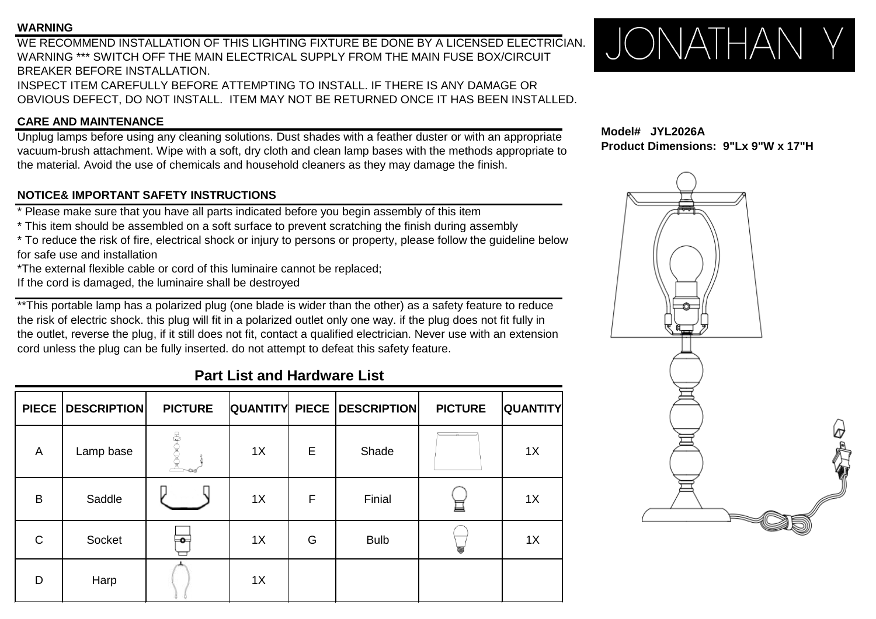#### **WARNING**

WE RECOMMEND INSTALLATION OF THIS LIGHTING FIXTURE BE DONE BY A LICENSED ELECTRICIAN. WARNING \*\*\* SWITCH OFF THE MAIN ELECTRICAL SUPPLY FROM THE MAIN FUSE BOX/CIRCUIT BREAKER BEFORE INSTALLATION. INSPECT ITEM CAREFULLY BEFORE ATTEMPTING TO INSTALL. IF THERE IS ANY DAMAGE OR OBVIOUS DEFECT, DO NOT INSTALL. ITEM MAY NOT BE RETURNED ONCE IT HAS BEEN INSTALLED.

### **CARE AND MAINTENANCE**

Unplug lamps before using any cleaning solutions. Dust shades with a feather duster or with an appropriate vacuum-brush attachment. Wipe with a soft, dry cloth and clean lamp bases with the methods appropriate to the material. Avoid the use of chemicals and household cleaners as they may damage the finish.

### **NOTICE& IMPORTANT SAFETY INSTRUCTIONS**

\* Please make sure that you have all parts indicated before you begin assembly of this item

\* This item should be assembled on a soft surface to prevent scratching the finish during assembly

\* To reduce the risk of fire, electrical shock or injury to persons or property, please follow the guideline below for safe use and installation

\*The external flexible cable or cord of this luminaire cannot be replaced;

If the cord is damaged, the luminaire shall be destroyed

\*\*This portable lamp has a polarized plug (one blade is wider than the other) as a safety feature to reduce the risk of electric shock. this plug will fit in a polarized outlet only one way. if the plug does not fit fully in the outlet, reverse the plug, if it still does not fit, contact a qualified electrician. Never use with an extension cord unless the plug can be fully inserted. do not attempt to defeat this safety feature.

## **Part List and Hardware List**

| <b>PIECE</b> | <b>DESCRIPTION</b> | <b>PICTURE</b> |    |             | <b>QUANTITY PIECE DESCRIPTION</b> | <b>PICTURE</b> | <b>QUANTITY</b> |
|--------------|--------------------|----------------|----|-------------|-----------------------------------|----------------|-----------------|
| A            | Lamp base          |                | 1X | E           | Shade                             |                | 1X              |
| B            | Saddle             |                | 1X | $\mathsf F$ | Finial                            | 亘              | 1X              |
| $\mathsf C$  | Socket             | ⊨⊶             | 1X | G           | <b>Bulb</b>                       |                | 1X              |
| D            | Harp               |                | 1X |             |                                   |                |                 |



**Model# JYL2026A Product Dimensions: 9"Lx 9"W x 17"H**